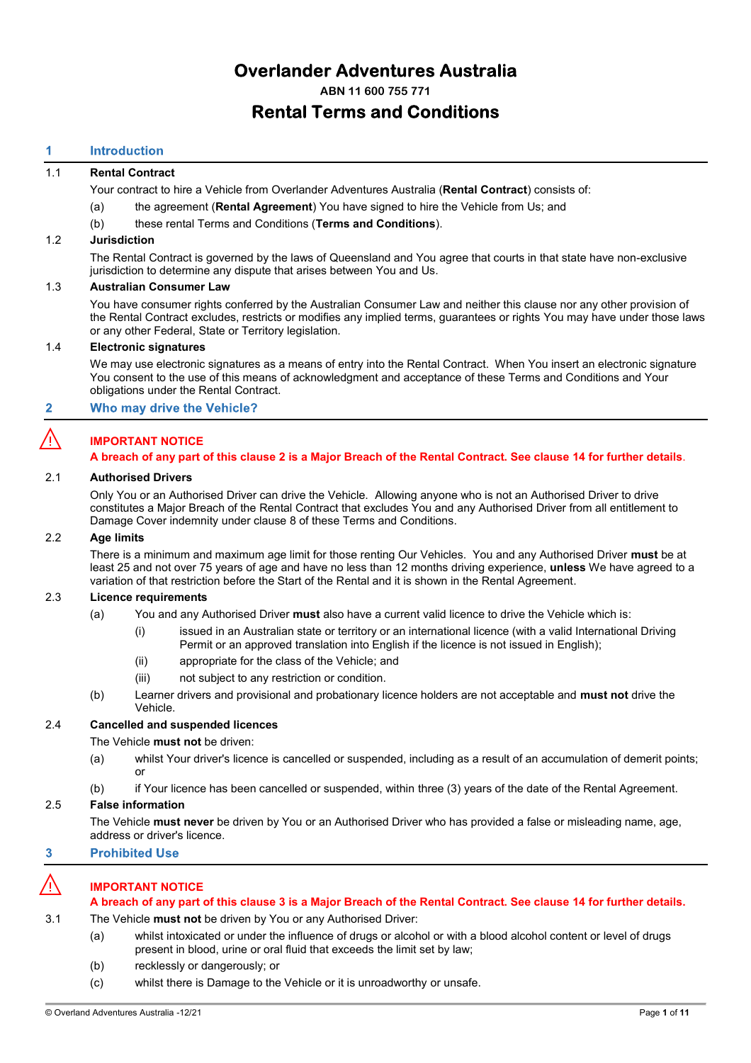# **Overlander Adventures Australia**

**ABN 11 600 755 771**

# **Rental Terms and Conditions**

# **Introduction**

# 1.1 **Rental Contract**

Your contract to hire a Vehicle from Overlander Adventures Australia (**Rental Contract**) consists of:

- (a) the agreement (**Rental Agreement**) You have signed to hire the Vehicle from Us; and
- (b) these rental Terms and Conditions (**Terms and Conditions**).

### 1.2 **Jurisdiction**

The Rental Contract is governed by the laws of Queensland and You agree that courts in that state have non-exclusive jurisdiction to determine any dispute that arises between You and Us.

### 1.3 **Australian Consumer Law**

You have consumer rights conferred by the Australian Consumer Law and neither this clause nor any other provision of the Rental Contract excludes, restricts or modifies any implied terms, guarantees or rights You may have under those laws or any other Federal, State or Territory legislation.

### 1.4 **Electronic signatures**

We may use electronic signatures as a means of entry into the Rental Contract. When You insert an electronic signature You consent to the use of this means of acknowledgment and acceptance of these Terms and Conditions and Your obligations under the Rental Contract.

#### <span id="page-0-0"></span>Who may drive the Vehicle?  $\overline{2}$

# ⚠️ **IMPORTANT NOTICE**

### **A breach of any part of this clause [2](#page-0-0) is a Major Breach of the Rental Contract. See claus[e 14](#page-8-0) for further details**.

### 2.1 **Authorised Drivers**

Only You or an Authorised Driver can drive the Vehicle. Allowing anyone who is not an Authorised Driver to drive constitutes a Major Breach of the Rental Contract that excludes You and any Authorised Driver from all entitlement to Damage Cover indemnity under claus[e 8](#page-5-0) of these Terms and Conditions.

# 2.2 **Age limits**

There is a minimum and maximum age limit for those renting Our Vehicles. You and any Authorised Driver **must** be at least 25 and not over 75 years of age and have no less than 12 months driving experience, **unless** We have agreed to a variation of that restriction before the Start of the Rental and it is shown in the Rental Agreement.

# 2.3 **Licence requirements**

- (a) You and any Authorised Driver **must** also have a current valid licence to drive the Vehicle which is:
	- (i) issued in an Australian state or territory or an international licence (with a valid International Driving Permit or an approved translation into English if the licence is not issued in English);
	- (ii) appropriate for the class of the Vehicle; and
	- (iii) not subject to any restriction or condition.
- (b) Learner drivers and provisional and probationary licence holders are not acceptable and **must not** drive the Vehicle.

# 2.4 **Cancelled and suspended licences**

The Vehicle **must not** be driven:

- (a) whilst Your driver's licence is cancelled or suspended, including as a result of an accumulation of demerit points; or
- (b) if Your licence has been cancelled or suspended, within three (3) years of the date of the Rental Agreement.

# 2.5 **False information**

The Vehicle **must never** be driven by You or an Authorised Driver who has provided a false or misleading name, age, address or driver's licence.

#### <span id="page-0-1"></span>**Prohibited Use**  $\overline{\mathbf{3}}$

# ⚠️ **IMPORTANT NOTICE**

# **A breach of any part of this clause [3](#page-0-1) is a Major Breach of the Rental Contract. See claus[e 14](#page-8-0) for further details.**

3.1 The Vehicle **must not** be driven by You or any Authorised Driver:

- (a) whilst intoxicated or under the influence of drugs or alcohol or with a blood alcohol content or level of drugs present in blood, urine or oral fluid that exceeds the limit set by law;
- (b) recklessly or dangerously; or
- (c) whilst there is Damage to the Vehicle or it is unroadworthy or unsafe.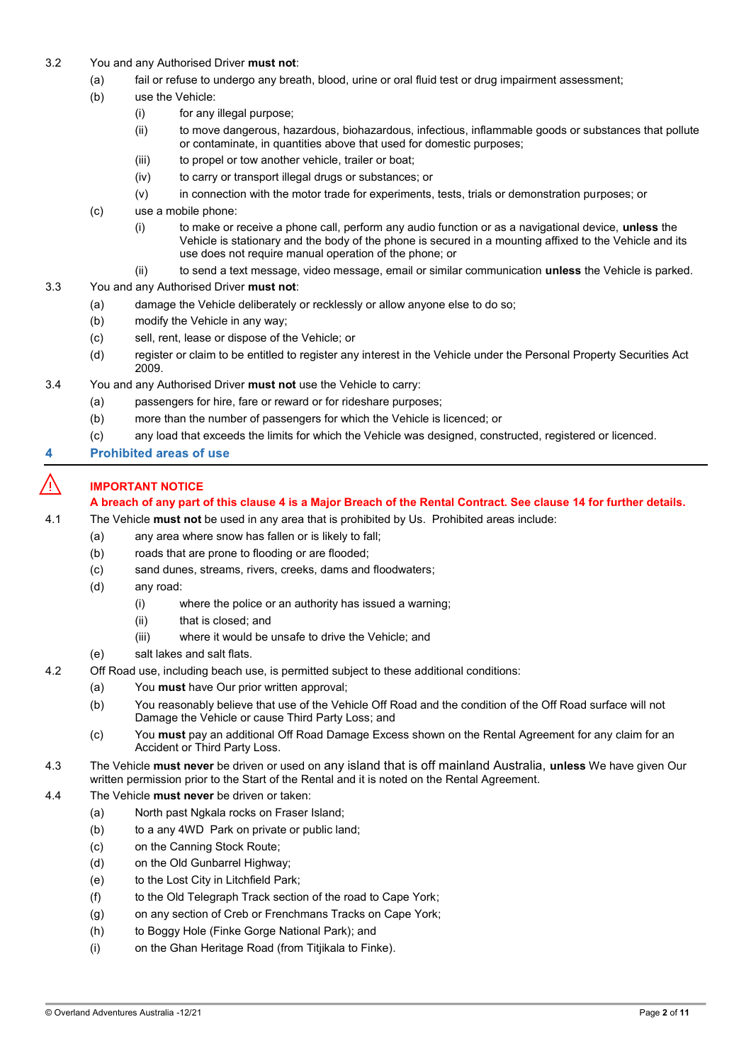- 3.2 You and any Authorised Driver **must not**:
	- (a) fail or refuse to undergo any breath, blood, urine or oral fluid test or drug impairment assessment;
	- (b) use the Vehicle:
		- (i) for any illegal purpose;
		- (ii) to move dangerous, hazardous, biohazardous, infectious, inflammable goods or substances that pollute or contaminate, in quantities above that used for domestic purposes;
		- (iii) to propel or tow another vehicle, trailer or boat;
		- (iv) to carry or transport illegal drugs or substances; or
		- (v) in connection with the motor trade for experiments, tests, trials or demonstration purposes; or
	- (c) use a mobile phone:
		- (i) to make or receive a phone call, perform any audio function or as a navigational device, **unless** the Vehicle is stationary and the body of the phone is secured in a mounting affixed to the Vehicle and its use does not require manual operation of the phone; or
		- (ii) to send a text message, video message, email or similar communication **unless** the Vehicle is parked.
- 3.3 You and any Authorised Driver **must not**:
	- (a) damage the Vehicle deliberately or recklessly or allow anyone else to do so;
	- (b) modify the Vehicle in any way;
	- (c) sell, rent, lease or dispose of the Vehicle; or
	- (d) register or claim to be entitled to register any interest in the Vehicle under the Personal Property Securities Act 2009.
- 3.4 You and any Authorised Driver **must not** use the Vehicle to carry:
	- (a) passengers for hire, fare or reward or for rideshare purposes;
	- (b) more than the number of passengers for which the Vehicle is licenced; or
	- (c) any load that exceeds the limits for which the Vehicle was designed, constructed, registered or licenced.
- <span id="page-1-0"></span>**Prohibited areas of use**

# ⚠️ **IMPORTANT NOTICE**

# **A breach of any part of this clause [4](#page-1-0) is a Major Breach of the Rental Contract. See claus[e 14](#page-8-0) for further details.**

4.1 The Vehicle **must not** be used in any area that is prohibited by Us. Prohibited areas include:

- (a) any area where snow has fallen or is likely to fall;
- (b) roads that are prone to flooding or are flooded;
- (c) sand dunes, streams, rivers, creeks, dams and floodwaters;
- (d) any road:
	- (i) where the police or an authority has issued a warning;
	- (ii) that is closed; and
	- (iii) where it would be unsafe to drive the Vehicle; and
- (e) salt lakes and salt flats.
- 4.2 Off Road use, including beach use, is permitted subject to these additional conditions:
	- (a) You **must** have Our prior written approval;
	- (b) You reasonably believe that use of the Vehicle Off Road and the condition of the Off Road surface will not Damage the Vehicle or cause Third Party Loss; and
	- (c) You **must** pay an additional Off Road Damage Excess shown on the Rental Agreement for any claim for an Accident or Third Party Loss.
- 4.3 The Vehicle **must never** be driven or used on any island that is off mainland Australia, **unless** We have given Our written permission prior to the Start of the Rental and it is noted on the Rental Agreement.
- 4.4 The Vehicle **must never** be driven or taken:
	- (a) North past Ngkala rocks on Fraser Island;
	- (b) to a any 4WD Park on private or public land;
	- (c) on the Canning Stock Route;
	- (d) on the Old Gunbarrel Highway;
	- (e) to the Lost City in Litchfield Park;
	- (f) to the Old Telegraph Track section of the road to Cape York;
	- (g) on any section of Creb or Frenchmans Tracks on Cape York;
	- (h) to Boggy Hole (Finke Gorge National Park); and
	- (i) on the Ghan Heritage Road (from Titjikala to Finke).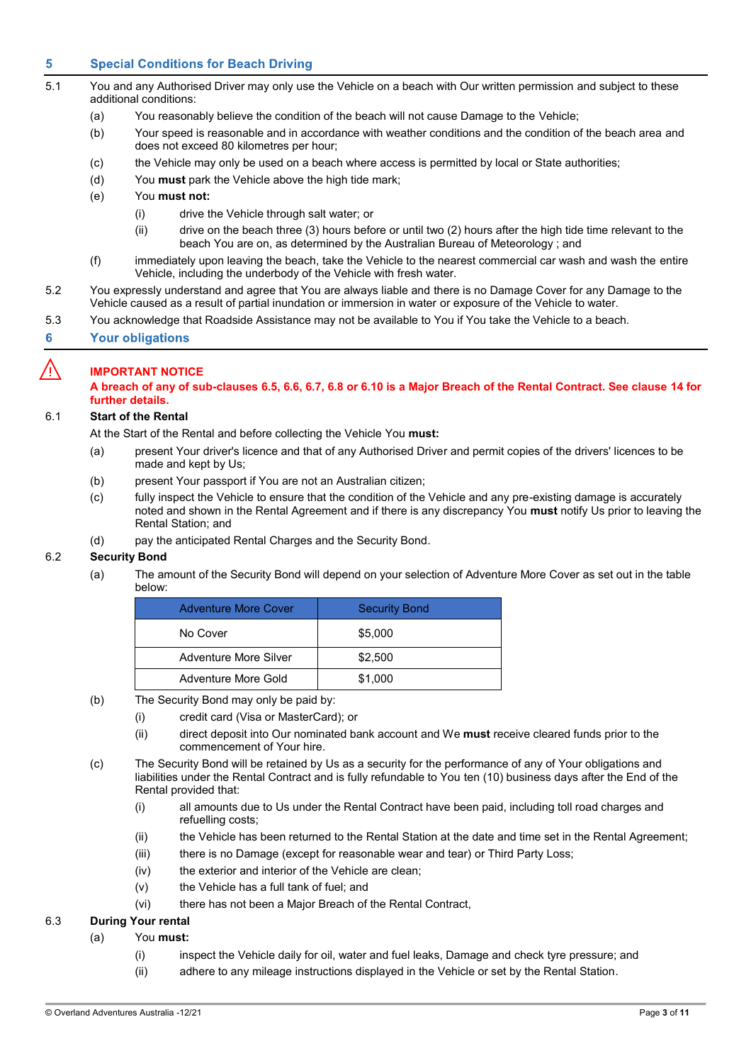#### 5 **Special Conditions for Beach Driving**

- <span id="page-2-1"></span>5.1 You and any Authorised Driver may only use the Vehicle on a beach with Our written permission and subject to these additional conditions:
	- (a) You reasonably believe the condition of the beach will not cause Damage to the Vehicle;
	- (b) Your speed is reasonable and in accordance with weather conditions and the condition of the beach area and does not exceed 80 kilometres per hour;
	- (c) the Vehicle may only be used on a beach where access is permitted by local or State authorities;
	- (d) You **must** park the Vehicle above the high tide mark;
	- (e) You **must not:**
		- (i) drive the Vehicle through salt water; or
		- (ii) drive on the beach three (3) hours before or until two (2) hours after the high tide time relevant to the beach You are on, as determined by the Australian Bureau of Meteorology ; and
	- (f) immediately upon leaving the beach, take the Vehicle to the nearest commercial car wash and wash the entire Vehicle, including the underbody of the Vehicle with fresh water.
- 5.2 You expressly understand and agree that You are always liable and there is no Damage Cover for any Damage to the Vehicle caused as a result of partial inundation or immersion in water or exposure of the Vehicle to water.
- 5.3 You acknowledge that Roadside Assistance may not be available to You if You take the Vehicle to a beach.

#### **Your obligations**  $6\phantom{1}$

# ⚠️ **IMPORTANT NOTICE**

**A breach of any of sub-clauses [6.5,](#page-3-0) [6.6,](#page-3-1) [6.7,](#page-3-2) [6.8](#page-3-3) or [6.10](#page-3-4) is a Major Breach of the Rental Contract. See clause [14](#page-8-0) for further details.**

### 6.1 **Start of the Rental**

At the Start of the Rental and before collecting the Vehicle You **must:**

- (a) present Your driver's licence and that of any Authorised Driver and permit copies of the drivers' licences to be made and kept by Us;
- (b) present Your passport if You are not an Australian citizen;
- (c) fully inspect the Vehicle to ensure that the condition of the Vehicle and any pre-existing damage is accurately noted and shown in the Rental Agreement and if there is any discrepancy You **must** notify Us prior to leaving the Rental Station; and
- (d) pay the anticipated Rental Charges and the Security Bond.

# <span id="page-2-2"></span><span id="page-2-0"></span>6.2 **Security Bond**

(a) The amount of the Security Bond will depend on your selection of Adventure More Cover as set out in the table below:

| <b>Adventure More Cover</b> | <b>Security Bond</b> |
|-----------------------------|----------------------|
| No Cover                    | \$5,000              |
| Adventure More Silver       | \$2.500              |
| Adventure More Gold         | \$1.000              |

- (b) The Security Bond may only be paid by:
	- (i) credit card (Visa or MasterCard); or
	- (ii) direct deposit into Our nominated bank account and We **must** receive cleared funds prior to the commencement of Your hire.
- (c) The Security Bond will be retained by Us as a security for the performance of any of Your obligations and liabilities under the Rental Contract and is fully refundable to You ten (10) business days after the End of the Rental provided that:
	- (i) all amounts due to Us under the Rental Contract have been paid, including toll road charges and refuelling costs;
	- (ii) the Vehicle has been returned to the Rental Station at the date and time set in the Rental Agreement;
	- (iii) there is no Damage (except for reasonable wear and tear) or Third Party Loss;
	- (iv) the exterior and interior of the Vehicle are clean;
	- (v) the Vehicle has a full tank of fuel; and
	- (vi) there has not been a Major Breach of the Rental Contract,

# 6.3 **During Your rental**

# (a) You **must:**

- (i) inspect the Vehicle daily for oil, water and fuel leaks, Damage and check tyre pressure; and
- (ii) adhere to any mileage instructions displayed in the Vehicle or set by the Rental Station.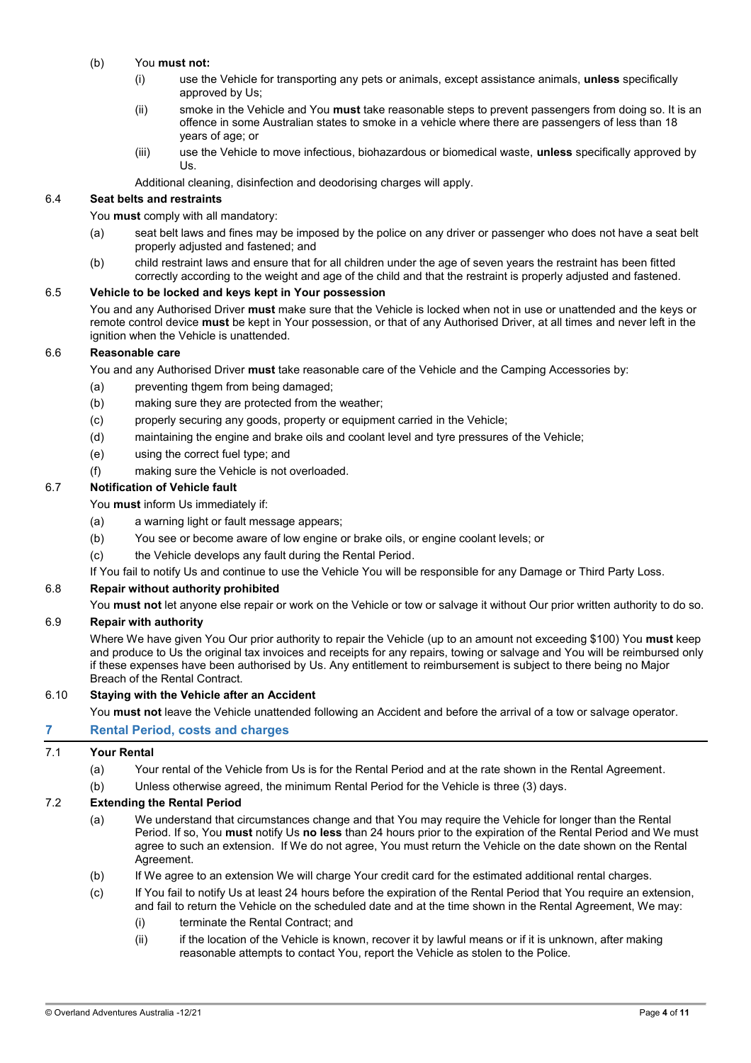# <span id="page-3-5"></span>(b) You **must not:**

- (i) use the Vehicle for transporting any pets or animals, except assistance animals, **unless** specifically approved by Us;
- (ii) smoke in the Vehicle and You **must** take reasonable steps to prevent passengers from doing so. It is an offence in some Australian states to smoke in a vehicle where there are passengers of less than 18 years of age; or
- (iii) use the Vehicle to move infectious, biohazardous or biomedical waste, **unless** specifically approved by Us.

Additional cleaning, disinfection and deodorising charges will apply.

# 6.4 **Seat belts and restraints**

### You **must** comply with all mandatory:

- (a) seat belt laws and fines may be imposed by the police on any driver or passenger who does not have a seat belt properly adjusted and fastened; and
- (b) child restraint laws and ensure that for all children under the age of seven years the restraint has been fitted correctly according to the weight and age of the child and that the restraint is properly adjusted and fastened.

### <span id="page-3-0"></span>6.5 **Vehicle to be locked and keys kept in Your possession**

You and any Authorised Driver **must** make sure that the Vehicle is locked when not in use or unattended and the keys or remote control device **must** be kept in Your possession, or that of any Authorised Driver, at all times and never left in the ignition when the Vehicle is unattended.

# <span id="page-3-1"></span>6.6 **Reasonable care**

You and any Authorised Driver **must** take reasonable care of the Vehicle and the Camping Accessories by:

- (a) preventing thgem from being damaged;
- (b) making sure they are protected from the weather;
- (c) properly securing any goods, property or equipment carried in the Vehicle;
- (d) maintaining the engine and brake oils and coolant level and tyre pressures of the Vehicle;
- (e) using the correct fuel type; and
- (f) making sure the Vehicle is not overloaded.

# <span id="page-3-2"></span>6.7 **Notification of Vehicle fault**

You **must** inform Us immediately if:

- (a) a warning light or fault message appears;
- (b) You see or become aware of low engine or brake oils, or engine coolant levels; or
- (c) the Vehicle develops any fault during the Rental Period.
- If You fail to notify Us and continue to use the Vehicle You will be responsible for any Damage or Third Party Loss.

# <span id="page-3-3"></span>6.8 **Repair without authority prohibited**

You **must not** let anyone else repair or work on the Vehicle or tow or salvage it without Our prior written authority to do so.

### 6.9 **Repair with authority**

Where We have given You Our prior authority to repair the Vehicle (up to an amount not exceeding \$100) You **must** keep and produce to Us the original tax invoices and receipts for any repairs, towing or salvage and You will be reimbursed only if these expenses have been authorised by Us. Any entitlement to reimbursement is subject to there being no Major Breach of the Rental Contract.

### <span id="page-3-4"></span>6.10 **Staying with the Vehicle after an Accident**

You **must not** leave the Vehicle unattended following an Accident and before the arrival of a tow or salvage operator.

# **Rental Period, costs and charges**

# 7.1 **Your Rental**

- (a) Your rental of the Vehicle from Us is for the Rental Period and at the rate shown in the Rental Agreement.
- (b) Unless otherwise agreed, the minimum Rental Period for the Vehicle is three (3) days.

# 7.2 **Extending the Rental Period**

- (a) We understand that circumstances change and that You may require the Vehicle for longer than the Rental Period. If so, You **must** notify Us **no less** than 24 hours prior to the expiration of the Rental Period and We must agree to such an extension. If We do not agree, You must return the Vehicle on the date shown on the Rental Agreement.
- (b) If We agree to an extension We will charge Your credit card for the estimated additional rental charges.
- (c) If You fail to notify Us at least 24 hours before the expiration of the Rental Period that You require an extension, and fail to return the Vehicle on the scheduled date and at the time shown in the Rental Agreement, We may:
	- (i) terminate the Rental Contract; and
	- (ii) if the location of the Vehicle is known, recover it by lawful means or if it is unknown, after making reasonable attempts to contact You, report the Vehicle as stolen to the Police.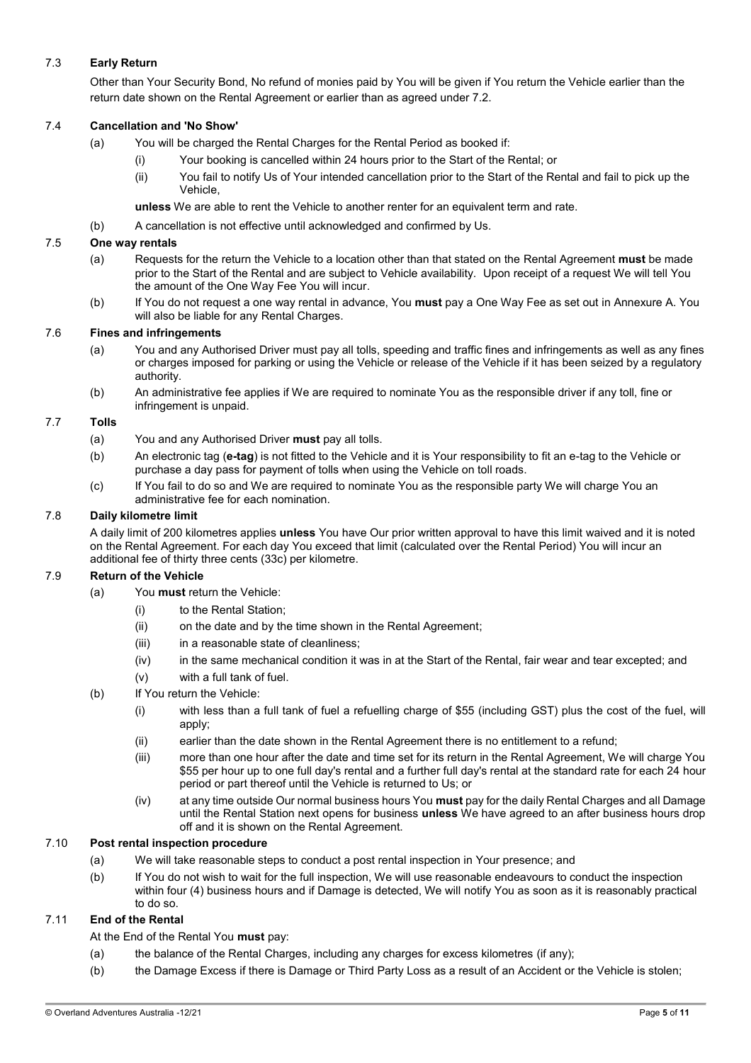# 7.3 **Early Return**

Other than Your Security Bond, No refund of monies paid by You will be given if You return the Vehicle earlier than the return date shown on the Rental Agreement or earlier than as agreed under 7.2.

# 7.4 **Cancellation and 'No Show'**

- (a) You will be charged the Rental Charges for the Rental Period as booked if:
	- (i) Your booking is cancelled within 24 hours prior to the Start of the Rental; or
	- (ii) You fail to notify Us of Your intended cancellation prior to the Start of the Rental and fail to pick up the Vehicle,

**unless** We are able to rent the Vehicle to another renter for an equivalent term and rate.

(b) A cancellation is not effective until acknowledged and confirmed by Us.

# 7.5 **One way rentals**

- (a) Requests for the return the Vehicle to a location other than that stated on the Rental Agreement **must** be made prior to the Start of the Rental and are subject to Vehicle availability. Upon receipt of a request We will tell You the amount of the One Way Fee You will incur.
- (b) If You do not request a one way rental in advance, You **must** pay a One Way Fee as set out in Annexure A. You will also be liable for any Rental Charges.

# <span id="page-4-3"></span>7.6 **Fines and infringements**

- (a) You and any Authorised Driver must pay all tolls, speeding and traffic fines and infringements as well as any fines or charges imposed for parking or using the Vehicle or release of the Vehicle if it has been seized by a regulatory authority.
- (b) An administrative fee applies if We are required to nominate You as the responsible driver if any toll, fine or infringement is unpaid.

# 7.7 **Tolls**

- (a) You and any Authorised Driver **must** pay all tolls.
- (b) An electronic tag (**e-tag**) is not fitted to the Vehicle and it is Your responsibility to fit an e-tag to the Vehicle or purchase a day pass for payment of tolls when using the Vehicle on toll roads.
- (c) If You fail to do so and We are required to nominate You as the responsible party We will charge You an administrative fee for each nomination.

# 7.8 **Daily kilometre limit**

A daily limit of 200 kilometres applies **unless** You have Our prior written approval to have this limit waived and it is noted on the Rental Agreement. For each day You exceed that limit (calculated over the Rental Period) You will incur an additional fee of thirty three cents (33c) per kilometre.

### 7.9 **Return of the Vehicle**

- (a) You **must** return the Vehicle:
	- (i) to the Rental Station;
	- (ii) on the date and by the time shown in the Rental Agreement;
	- (iii) in a reasonable state of cleanliness;
	- (iv) in the same mechanical condition it was in at the Start of the Rental, fair wear and tear excepted; and
	- (v) with a full tank of fuel.
- <span id="page-4-2"></span><span id="page-4-1"></span><span id="page-4-0"></span>(b) If You return the Vehicle:
	- (i) with less than a full tank of fuel a refuelling charge of \$55 (including GST) plus the cost of the fuel, will apply;
	- (ii) earlier than the date shown in the Rental Agreement there is no entitlement to a refund;
	- (iii) more than one hour after the date and time set for its return in the Rental Agreement, We will charge You \$55 per hour up to one full day's rental and a further full day's rental at the standard rate for each 24 hour period or part thereof until the Vehicle is returned to Us; or
	- (iv) at any time outside Our normal business hours You **must** pay for the daily Rental Charges and all Damage until the Rental Station next opens for business **unless** We have agreed to an after business hours drop off and it is shown on the Rental Agreement.

# 7.10 **Post rental inspection procedure**

- (a) We will take reasonable steps to conduct a post rental inspection in Your presence; and
- (b) If You do not wish to wait for the full inspection, We will use reasonable endeavours to conduct the inspection within four (4) business hours and if Damage is detected, We will notify You as soon as it is reasonably practical to do so.

# 7.11 **End of the Rental**

At the End of the Rental You **must** pay:

- (a) the balance of the Rental Charges, including any charges for excess kilometres (if any);
- (b) the Damage Excess if there is Damage or Third Party Loss as a result of an Accident or the Vehicle is stolen;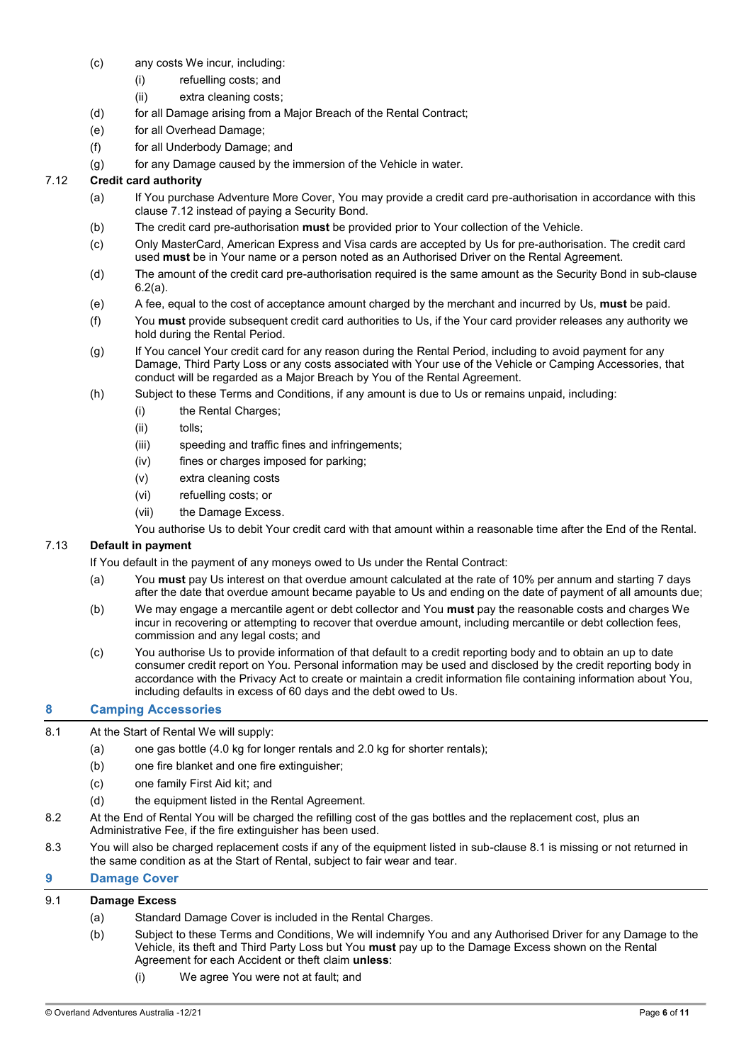- <span id="page-5-4"></span>(c) any costs We incur, including:
	- (i) refuelling costs; and
	- (ii) extra cleaning costs;
- <span id="page-5-5"></span>(d) for all Damage arising from a Major Breach of the Rental Contract;
- (e) for all Overhead Damage;
- (f) for all Underbody Damage; and
- (g) for any Damage caused by the immersion of the Vehicle in water.

# <span id="page-5-1"></span>7.12 **Credit card authority**

- (a) If You purchase Adventure More Cover, You may provide a credit card pre-authorisation in accordance with this claus[e 7.12](#page-5-1) instead of paying a Security Bond.
- (b) The credit card pre-authorisation **must** be provided prior to Your collection of the Vehicle.
- (c) Only MasterCard, American Express and Visa cards are accepted by Us for pre-authorisation. The credit card used **must** be in Your name or a person noted as an Authorised Driver on the Rental Agreement.
- (d) The amount of the credit card pre-authorisation required is the same amount as the Security Bond in sub-clause [6.2\(a\).](#page-2-0)
- <span id="page-5-3"></span>(e) A fee, equal to the cost of acceptance amount charged by the merchant and incurred by Us, **must** be paid.
- (f) You **must** provide subsequent credit card authorities to Us, if the Your card provider releases any authority we hold during the Rental Period.
- (g) If You cancel Your credit card for any reason during the Rental Period, including to avoid payment for any Damage, Third Party Loss or any costs associated with Your use of the Vehicle or Camping Accessories, that conduct will be regarded as a Major Breach by You of the Rental Agreement.
- <span id="page-5-6"></span>(h) Subject to these Terms and Conditions, if any amount is due to Us or remains unpaid, including:
	- (i) the Rental Charges;
	- (ii) tolls;
	- (iii) speeding and traffic fines and infringements;
	- (iv) fines or charges imposed for parking;
	- (v) extra cleaning costs
	- (vi) refuelling costs; or
	- (vii) the Damage Excess.
	- You authorise Us to debit Your credit card with that amount within a reasonable time after the End of the Rental.

# <span id="page-5-7"></span>7.13 **Default in payment**

If You default in the payment of any moneys owed to Us under the Rental Contract:

- (a) You **must** pay Us interest on that overdue amount calculated at the rate of 10% per annum and starting 7 days after the date that overdue amount became payable to Us and ending on the date of payment of all amounts due;
- (b) We may engage a mercantile agent or debt collector and You **must** pay the reasonable costs and charges We incur in recovering or attempting to recover that overdue amount, including mercantile or debt collection fees, commission and any legal costs; and
- (c) You authorise Us to provide information of that default to a credit reporting body and to obtain an up to date consumer credit report on You. Personal information may be used and disclosed by the credit reporting body in accordance with the Privacy Act to create or maintain a credit information file containing information about You, including defaults in excess of 60 days and the debt owed to Us.

#### <span id="page-5-0"></span> $\mathbf{a}$ **Camping Accessories**

- <span id="page-5-2"></span>8.1 At the Start of Rental We will supply:
	- (a) one gas bottle (4.0 kg for longer rentals and 2.0 kg for shorter rentals);
	- (b) one fire blanket and one fire extinguisher;
	- (c) one family First Aid kit; and
	- (d) the equipment listed in the Rental Agreement.
- 8.2 At the End of Rental You will be charged the refilling cost of the gas bottles and the replacement cost, plus an Administrative Fee, if the fire extinguisher has been used.
- 8.3 You will also be charged replacement costs if any of the equipment listed in sub-claus[e 8.1](#page-5-2) is missing or not returned in the same condition as at the Start of Rental, subject to fair wear and tear.

#### 9 **Damage Cover**

# 9.1 **Damage Excess**

- (a) Standard Damage Cover is included in the Rental Charges.
- (b) Subject to these Terms and Conditions, We will indemnify You and any Authorised Driver for any Damage to the Vehicle, its theft and Third Party Loss but You **must** pay up to the Damage Excess shown on the Rental Agreement for each Accident or theft claim **unless**:
	- (i) We agree You were not at fault; and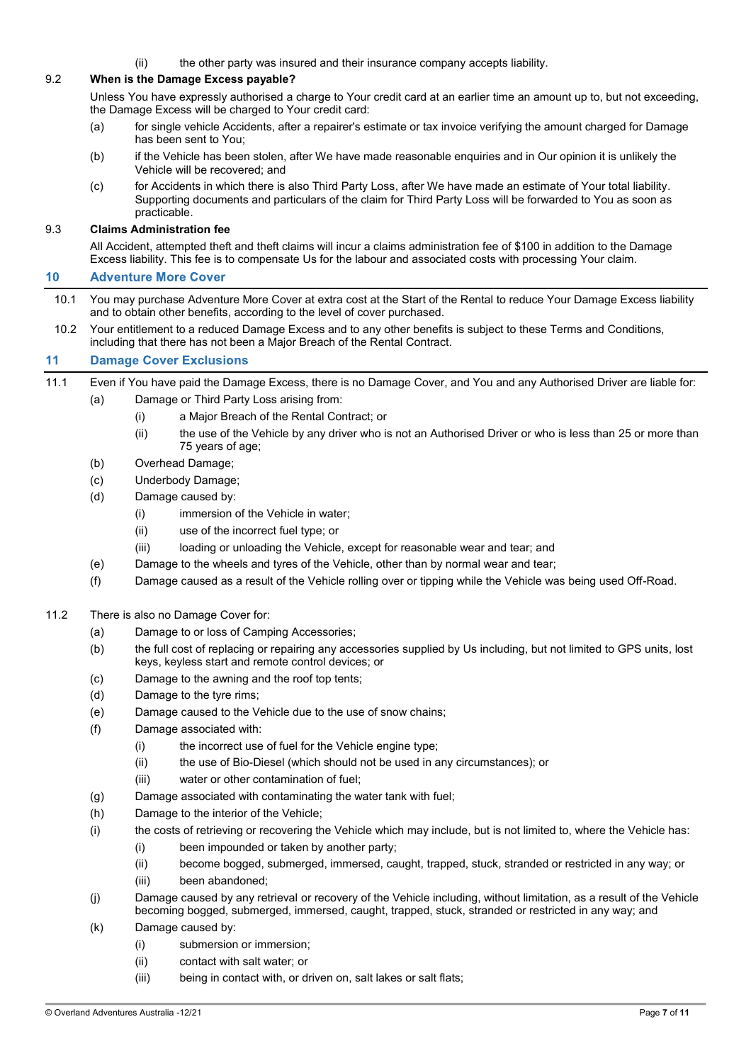(ii) the other party was insured and their insurance company accepts liability.

# 9.2 **When is the Damage Excess payable?**

Unless You have expressly authorised a charge to Your credit card at an earlier time an amount up to, but not exceeding, the Damage Excess will be charged to Your credit card:

- (a) for single vehicle Accidents, after a repairer's estimate or tax invoice verifying the amount charged for Damage has been sent to You;
- (b) if the Vehicle has been stolen, after We have made reasonable enquiries and in Our opinion it is unlikely the Vehicle will be recovered; and
- (c) for Accidents in which there is also Third Party Loss, after We have made an estimate of Your total liability. Supporting documents and particulars of the claim for Third Party Loss will be forwarded to You as soon as practicable.

# 9.3 **Claims Administration fee**

All Accident, attempted theft and theft claims will incur a claims administration fee of \$100 in addition to the Damage Excess liability. This fee is to compensate Us for the labour and associated costs with processing Your claim.

#### <span id="page-6-0"></span> $10$ **Adventure More Cover**

- 10.1 You may purchase Adventure More Cover at extra cost at the Start of the Rental to reduce Your Damage Excess liability and to obtain other benefits, according to the level of cover purchased.
- 10.2 Your entitlement to a reduced Damage Excess and to any other benefits is subject to these Terms and Conditions, including that there has not been a Major Breach of the Rental Contract.

#### $11$ **Damage Cover Exclusions**

- 11.1 Even if You have paid the Damage Excess, there is no Damage Cover, and You and any Authorised Driver are liable for:
	- (a) Damage or Third Party Loss arising from:
		- (i) a Major Breach of the Rental Contract; or
		- (ii) the use of the Vehicle by any driver who is not an Authorised Driver or who is less than 25 or more than 75 years of age;
	- (b) Overhead Damage;
	- (c) Underbody Damage;
	- (d) Damage caused by:
		- (i) immersion of the Vehicle in water;
		- (ii) use of the incorrect fuel type; or
		- (iii) loading or unloading the Vehicle, except for reasonable wear and tear; and
	- (e) Damage to the wheels and tyres of the Vehicle, other than by normal wear and tear;
	- (f) Damage caused as a result of the Vehicle rolling over or tipping while the Vehicle was being used Off-Road.

# 11.2 There is also no Damage Cover for:

- (a) Damage to or loss of Camping Accessories;
- (b) the full cost of replacing or repairing any accessories supplied by Us including, but not limited to GPS units, lost keys, keyless start and remote control devices; or
- (c) Damage to the awning and the roof top tents;
- (d) Damage to the tyre rims;
- (e) Damage caused to the Vehicle due to the use of snow chains;
- (f) Damage associated with:
	- (i) the incorrect use of fuel for the Vehicle engine type;
	- (ii) the use of Bio-Diesel (which should not be used in any circumstances); or
	- (iii) water or other contamination of fuel;
- (g) Damage associated with contaminating the water tank with fuel;
- (h) Damage to the interior of the Vehicle;
- (i) the costs of retrieving or recovering the Vehicle which may include, but is not limited to, where the Vehicle has:
	- (i) been impounded or taken by another party;
	- (ii) become bogged, submerged, immersed, caught, trapped, stuck, stranded or restricted in any way; or
	- (iii) been abandoned;
- (j) Damage caused by any retrieval or recovery of the Vehicle including, without limitation, as a result of the Vehicle becoming bogged, submerged, immersed, caught, trapped, stuck, stranded or restricted in any way; and
- (k) Damage caused by:
	- (i) submersion or immersion;
	- (ii) contact with salt water; or
	- (iii) being in contact with, or driven on, salt lakes or salt flats;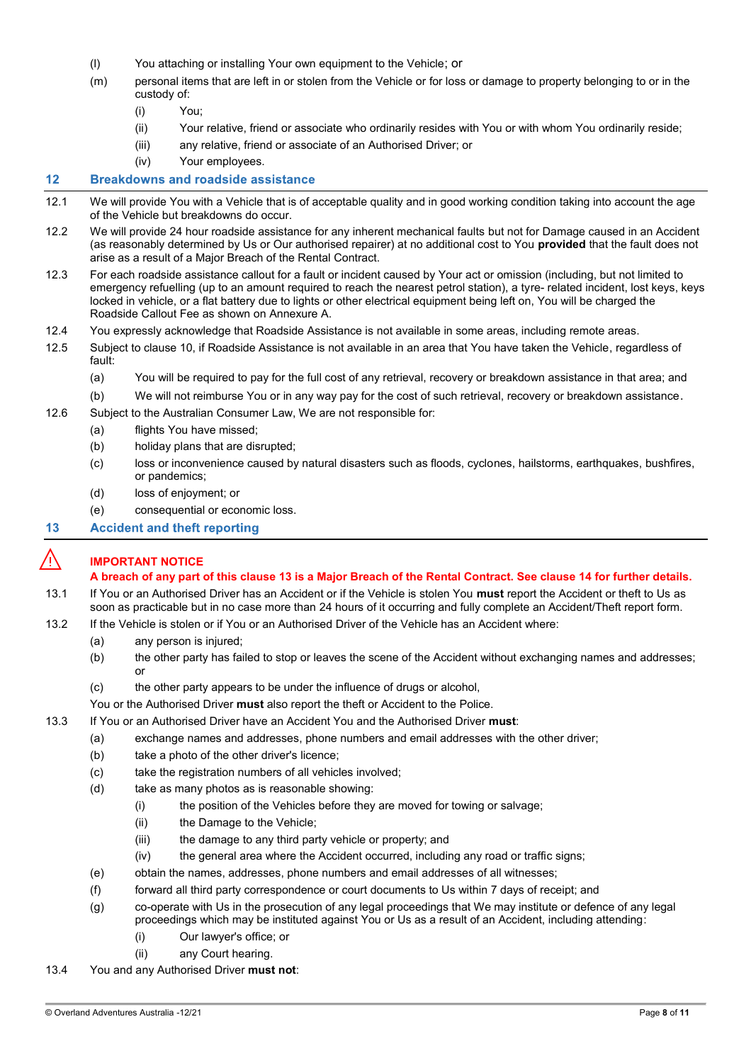- (l) You attaching or installing Your own equipment to the Vehicle; or
- (m) personal items that are left in or stolen from the Vehicle or for loss or damage to property belonging to or in the custody of:
	- (i) You;
	- (ii) Your relative, friend or associate who ordinarily resides with You or with whom You ordinarily reside;
	- (iii) any relative, friend or associate of an Authorised Driver; or
	- (iv) Your employees.

#### $12$ **Breakdowns and roadside assistance**

- 12.1 We will provide You with a Vehicle that is of acceptable quality and in good working condition taking into account the age of the Vehicle but breakdowns do occur.
- 12.2 We will provide 24 hour roadside assistance for any inherent mechanical faults but not for Damage caused in an Accident (as reasonably determined by Us or Our authorised repairer) at no additional cost to You **provided** that the fault does not arise as a result of a Major Breach of the Rental Contract.
- <span id="page-7-1"></span>12.3 For each roadside assistance callout for a fault or incident caused by Your act or omission (including, but not limited to emergency refuelling (up to an amount required to reach the nearest petrol station), a tyre- related incident, lost keys, keys locked in vehicle, or a flat battery due to lights or other electrical equipment being left on, You will be charged the Roadside Callout Fee as shown on Annexure A.
- 12.4 You expressly acknowledge that Roadside Assistance is not available in some areas, including remote areas.
- 12.5 Subject to clause [10,](#page-6-0) if Roadside Assistance is not available in an area that You have taken the Vehicle, regardless of fault:
	- (a) You will be required to pay for the full cost of any retrieval, recovery or breakdown assistance in that area; and
	- (b) We will not reimburse You or in any way pay for the cost of such retrieval, recovery or breakdown assistance.
- 12.6 Subject to the Australian Consumer Law, We are not responsible for:
	- (a) flights You have missed;
	- (b) holiday plans that are disrupted;
	- (c) loss or inconvenience caused by natural disasters such as floods, cyclones, hailstorms, earthquakes, bushfires, or pandemics;
	- (d) loss of enjoyment; or
	- (e) consequential or economic loss.

#### <span id="page-7-0"></span> $13$ **Accident and theft reporting**

# ⚠️ **IMPORTANT NOTICE**

# **A breach of any part of this clause [13](#page-7-0) is a Major Breach of the Rental Contract. See claus[e 14](#page-8-0) for further details.**

- 13.1 If You or an Authorised Driver has an Accident or if the Vehicle is stolen You **must** report the Accident or theft to Us as soon as practicable but in no case more than 24 hours of it occurring and fully complete an Accident/Theft report form.
- 13.2 If the Vehicle is stolen or if You or an Authorised Driver of the Vehicle has an Accident where:
	- (a) any person is injured;
	- (b) the other party has failed to stop or leaves the scene of the Accident without exchanging names and addresses; or
	- (c) the other party appears to be under the influence of drugs or alcohol,
	- You or the Authorised Driver **must** also report the theft or Accident to the Police.
- 13.3 If You or an Authorised Driver have an Accident You and the Authorised Driver **must**:
	- (a) exchange names and addresses, phone numbers and email addresses with the other driver;
	- (b) take a photo of the other driver's licence;
	- (c) take the registration numbers of all vehicles involved;
	- (d) take as many photos as is reasonable showing:
		- (i) the position of the Vehicles before they are moved for towing or salvage;
		- (ii) the Damage to the Vehicle;
		- (iii) the damage to any third party vehicle or property; and
		- (iv) the general area where the Accident occurred, including any road or traffic signs;
	- (e) obtain the names, addresses, phone numbers and email addresses of all witnesses;
	- (f) forward all third party correspondence or court documents to Us within 7 days of receipt; and
	- (g) co-operate with Us in the prosecution of any legal proceedings that We may institute or defence of any legal proceedings which may be instituted against You or Us as a result of an Accident, including attending:
		- (i) Our lawyer's office; or
		- (ii) any Court hearing.
- 13.4 You and any Authorised Driver **must not**: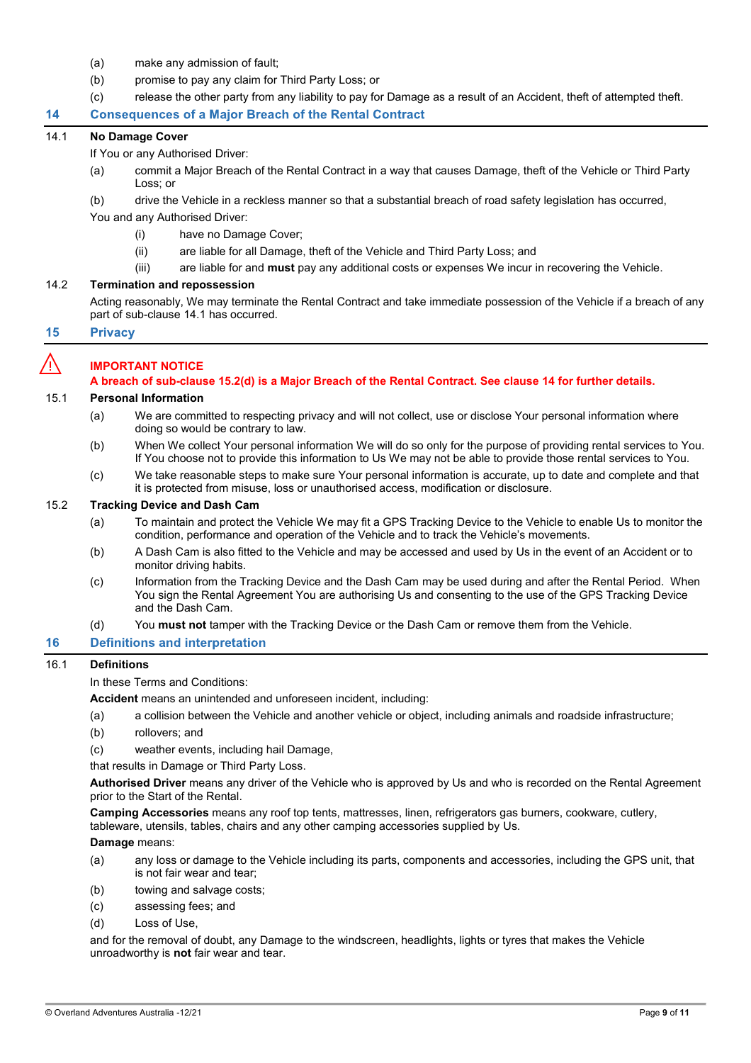- (a) make any admission of fault;
- (b) promise to pay any claim for Third Party Loss; or
- (c) release the other party from any liability to pay for Damage as a result of an Accident, theft of attempted theft.

#### <span id="page-8-0"></span>**Consequences of a Major Breach of the Rental Contract** 14

### <span id="page-8-1"></span>14.1 **No Damage Cover**

If You or any Authorised Driver:

- (a) commit a Major Breach of the Rental Contract in a way that causes Damage, theft of the Vehicle or Third Party Loss; or
- (b) drive the Vehicle in a reckless manner so that a substantial breach of road safety legislation has occurred,

You and any Authorised Driver:

- (i) have no Damage Cover;
- (ii) are liable for all Damage, theft of the Vehicle and Third Party Loss; and
- (iii) are liable for and **must** pay any additional costs or expenses We incur in recovering the Vehicle.

# 14.2 **Termination and repossession**

Acting reasonably, We may terminate the Rental Contract and take immediate possession of the Vehicle if a breach of any part of sub-clause [14.1](#page-8-1) has occurred.

#### 15 **Privacy**

# ⚠️ **IMPORTANT NOTICE**

**A breach of sub-clause [15.2\(d\)](#page-8-2) is a Major Breach of the Rental Contract. See claus[e 14](#page-8-0) for further details.**

# 15.1 **Personal Information**

- (a) We are committed to respecting privacy and will not collect, use or disclose Your personal information where doing so would be contrary to law.
- (b) When We collect Your personal information We will do so only for the purpose of providing rental services to You. If You choose not to provide this information to Us We may not be able to provide those rental services to You.
- (c) We take reasonable steps to make sure Your personal information is accurate, up to date and complete and that it is protected from misuse, loss or unauthorised access, modification or disclosure.

# 15.2 **Tracking Device and Dash Cam**

- (a) To maintain and protect the Vehicle We may fit a GPS Tracking Device to the Vehicle to enable Us to monitor the condition, performance and operation of the Vehicle and to track the Vehicle's movements.
- (b) A Dash Cam is also fitted to the Vehicle and may be accessed and used by Us in the event of an Accident or to monitor driving habits.
- (c) Information from the Tracking Device and the Dash Cam may be used during and after the Rental Period. When You sign the Rental Agreement You are authorising Us and consenting to the use of the GPS Tracking Device and the Dash Cam.
- (d) You **must not** tamper with the Tracking Device or the Dash Cam or remove them from the Vehicle.

#### <span id="page-8-2"></span>**Definitions and interpretation** 16

# 16.1 **Definitions**

In these Terms and Conditions:

**Accident** means an unintended and unforeseen incident, including:

- (a) a collision between the Vehicle and another vehicle or object, including animals and roadside infrastructure;
- (b) rollovers; and
- (c) weather events, including hail Damage,

that results in Damage or Third Party Loss.

**Authorised Driver** means any driver of the Vehicle who is approved by Us and who is recorded on the Rental Agreement prior to the Start of the Rental.

**Camping Accessories** means any roof top tents, mattresses, linen, refrigerators gas burners, cookware, cutlery, tableware, utensils, tables, chairs and any other camping accessories supplied by Us.

**Damage** means:

- (a) any loss or damage to the Vehicle including its parts, components and accessories, including the GPS unit, that is not fair wear and tear;
- (b) towing and salvage costs;
- (c) assessing fees; and
- (d) Loss of Use,

and for the removal of doubt, any Damage to the windscreen, headlights, lights or tyres that makes the Vehicle unroadworthy is **not** fair wear and tear.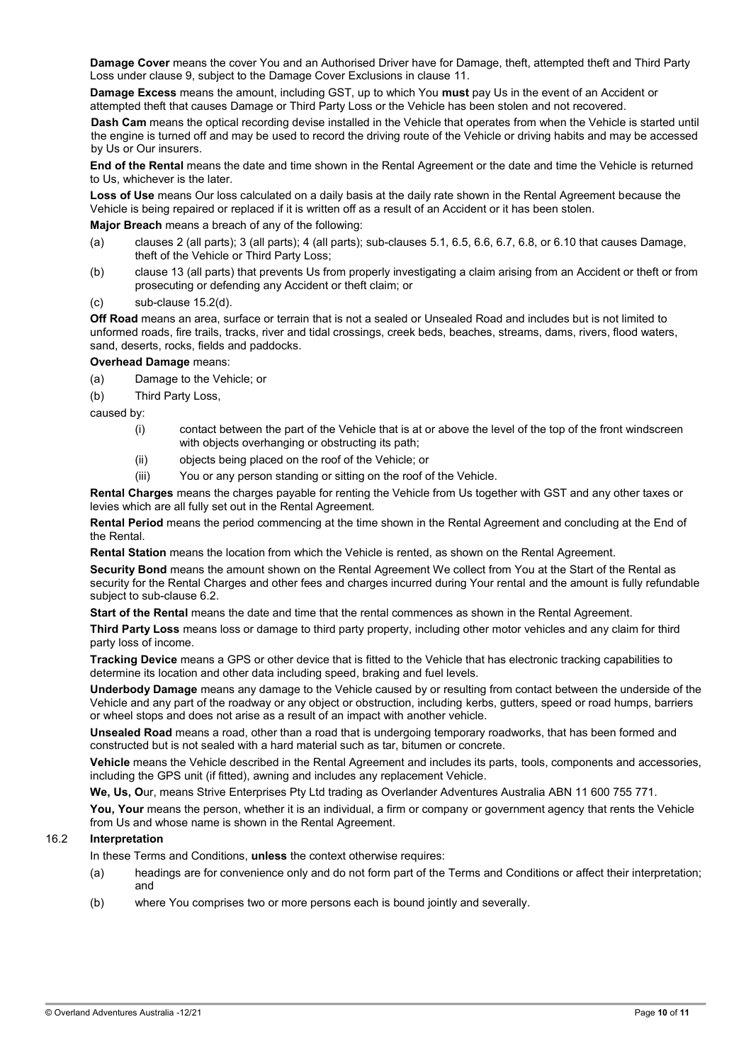**Damage Cover** means the cover You and an Authorised Driver have for Damage, theft, attempted theft and Third Party Loss under clause 9, subject to the Damage Cover Exclusions in clause 11.

**Damage Excess** means the amount, including GST, up to which You **must** pay Us in the event of an Accident or attempted theft that causes Damage or Third Party Loss or the Vehicle has been stolen and not recovered.

**Dash Cam** means the optical recording devise installed in the Vehicle that operates from when the Vehicle is started until the engine is turned off and may be used to record the driving route of the Vehicle or driving habits and may be accessed by Us or Our insurers.

**End of the Rental** means the date and time shown in the Rental Agreement or the date and time the Vehicle is returned to Us, whichever is the later.

**Loss of Use** means Our loss calculated on a daily basis at the daily rate shown in the Rental Agreement because the Vehicle is being repaired or replaced if it is written off as a result of an Accident or it has been stolen.

**Major Breach** means a breach of any of the following:

- (a) clauses [2](#page-0-0) (all parts); [3](#page-0-1) (all parts); [4](#page-1-0) (all parts); sub-clauses  $5.1$ ,  $6.5$ ,  $6.6$ ,  $6.7$ ,  $6.8$ , or  $6.10$  that causes Damage, theft of the Vehicle or Third Party Loss;
- (b) claus[e 13](#page-7-0) (all parts) that prevents Us from properly investigating a claim arising from an Accident or theft or from prosecuting or defending any Accident or theft claim; or
- (c) sub-clause [15.2\(d\).](#page-8-2)

**Off Road** means an area, surface or terrain that is not a sealed or Unsealed Road and includes but is not limited to unformed roads, fire trails, tracks, river and tidal crossings, creek beds, beaches, streams, dams, rivers, flood waters, sand, deserts, rocks, fields and paddocks.

**Overhead Damage** means:

- (a) Damage to the Vehicle; or
- (b) Third Party Loss,

caused by:

- (i) contact between the part of the Vehicle that is at or above the level of the top of the front windscreen with objects overhanging or obstructing its path;
- (ii) objects being placed on the roof of the Vehicle; or
- (iii) You or any person standing or sitting on the roof of the Vehicle.

**Rental Charges** means the charges payable for renting the Vehicle from Us together with GST and any other taxes or levies which are all fully set out in the Rental Agreement.

**Rental Period** means the period commencing at the time shown in the Rental Agreement and concluding at the End of the Rental.

**Rental Station** means the location from which the Vehicle is rented, as shown on the Rental Agreement.

**Security Bond** means the amount shown on the Rental Agreement We collect from You at the Start of the Rental as security for the Rental Charges and other fees and charges incurred during Your rental and the amount is fully refundable subject to sub-clause [6.2.](#page-2-2)

**Start of the Rental** means the date and time that the rental commences as shown in the Rental Agreement.

**Third Party Loss** means loss or damage to third party property, including other motor vehicles and any claim for third party loss of income.

**Tracking Device** means a GPS or other device that is fitted to the Vehicle that has electronic tracking capabilities to determine its location and other data including speed, braking and fuel levels.

**Underbody Damage** means any damage to the Vehicle caused by or resulting from contact between the underside of the Vehicle and any part of the roadway or any object or obstruction, including kerbs, gutters, speed or road humps, barriers or wheel stops and does not arise as a result of an impact with another vehicle.

**Unsealed Road** means a road, other than a road that is undergoing temporary roadworks, that has been formed and constructed but is not sealed with a hard material such as tar, bitumen or concrete.

**Vehicle** means the Vehicle described in the Rental Agreement and includes its parts, tools, components and accessories, including the GPS unit (if fitted), awning and includes any replacement Vehicle.

**We, Us, O**ur, means Strive Enterprises Pty Ltd trading as Overlander Adventures Australia ABN 11 600 755 771.

You, Your means the person, whether it is an individual, a firm or company or government agency that rents the Vehicle from Us and whose name is shown in the Rental Agreement.

# 16.2 **Interpretation**

In these Terms and Conditions, **unless** the context otherwise requires:

- (a) headings are for convenience only and do not form part of the Terms and Conditions or affect their interpretation; and
- (b) where You comprises two or more persons each is bound jointly and severally.